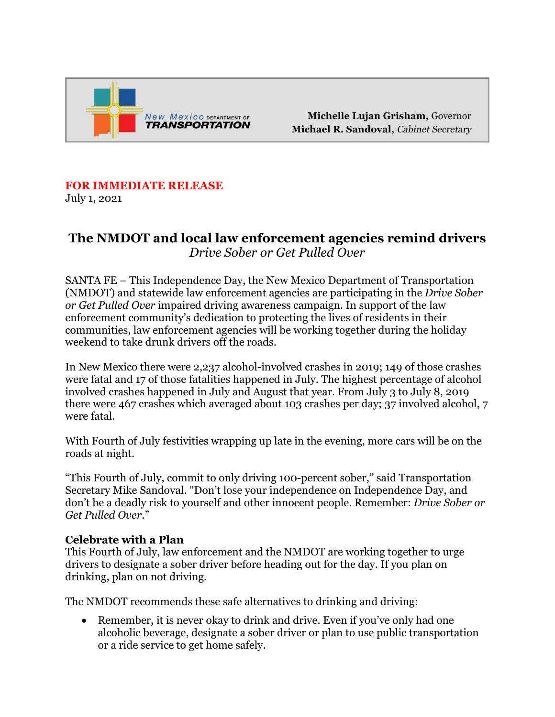

Michelle Lujan Grisham, Governor Michael R. Sandoval, Cabinet Secretary

## **FOR IMMEDIATE RELEASE**

July 1, 2021

## **The NMDOT and local law enforcement agencies remind drivers**  *Drive Sober or Get Pulled Over*

SANTA FE – This Independence Day, the New Mexico Department of Transportation (NMDOT) and statewide law enforcement agencies are participating in the *Drive Sober or Get Pulled Over* impaired driving awareness campaign. In support of the law enforcement community's dedication to protecting the lives of residents in their communities, law enforcement agencies will be working together during the holiday weekend to take drunk drivers off the roads.

In New Mexico there were 2,237 alcohol-involved crashes in 2019; 149 of those crashes were fatal and 17 of those fatalities happened in July. The highest percentage of alcohol involved crashes happened in July and August that year. From July 3 to July 8, 2019 there were 467 crashes which averaged about 103 crashes per day; 37 involved alcohol, 7 were fatal.

With Fourth of July festivities wrapping up late in the evening, more cars will be on the roads at night.

"This Fourth of July, commit to only driving 100-percent sober," said Transportation Secretary Mike Sandoval. "Don't lose your independence on Independence Day, and don't be a deadly risk to yourself and other innocent people. Remember: *Drive Sober or Get Pulled Over*."

## **Celebrate with a Plan**

This Fourth of July, law enforcement and the NMDOT are working together to urge drivers to designate a sober driver before heading out for the day. If you plan on drinking, plan on not driving.

The NMDOT recommends these safe alternatives to drinking and driving:

• Remember, it is never okay to drink and drive. Even if you've only had one alcoholic beverage, designate a sober driver or plan to use public transportation or a ride service to get home safely.